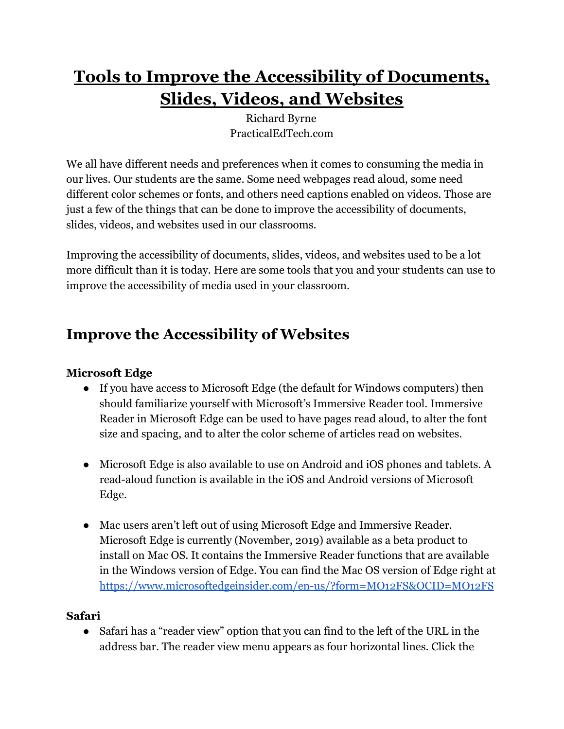# **Tools to Improve the Accessibility of Documents, Slides, Videos, and Websites**

Richard Byrne PracticalEdTech.com

We all have different needs and preferences when it comes to consuming the media in our lives. Our students are the same. Some need webpages read aloud, some need different color schemes or fonts, and others need captions enabled on videos. Those are just a few of the things that can be done to improve the accessibility of documents, slides, videos, and websites used in our classrooms.

Improving the accessibility of documents, slides, videos, and websites used to be a lot more difficult than it is today. Here are some tools that you and your students can use to improve the accessibility of media used in your classroom.

# **Improve the Accessibility of Websites**

### **Microsoft Edge**

- If you have access to Microsoft Edge (the default for Windows computers) then should familiarize yourself with Microsoft's Immersive Reader tool. Immersive Reader in Microsoft Edge can be used to have pages read aloud, to alter the font size and spacing, and to alter the color scheme of articles read on websites.
- Microsoft Edge is also available to use on Android and iOS phones and tablets. A read-aloud function is available in the iOS and Android versions of Microsoft Edge.
- Mac users aren't left out of using Microsoft Edge and Immersive Reader. Microsoft Edge is currently (November, 2019) available as a beta product to install on Mac OS. It contains the Immersive Reader functions that are available in the Windows version of Edge. You can find the Mac OS version of Edge right at <https://www.microsoftedgeinsider.com/en-us/?form=MO12FS&OCID=MO12FS>

### **Safari**

● Safari has a "reader view" option that you can find to the left of the URL in the address bar. The reader view menu appears as four horizontal lines. Click the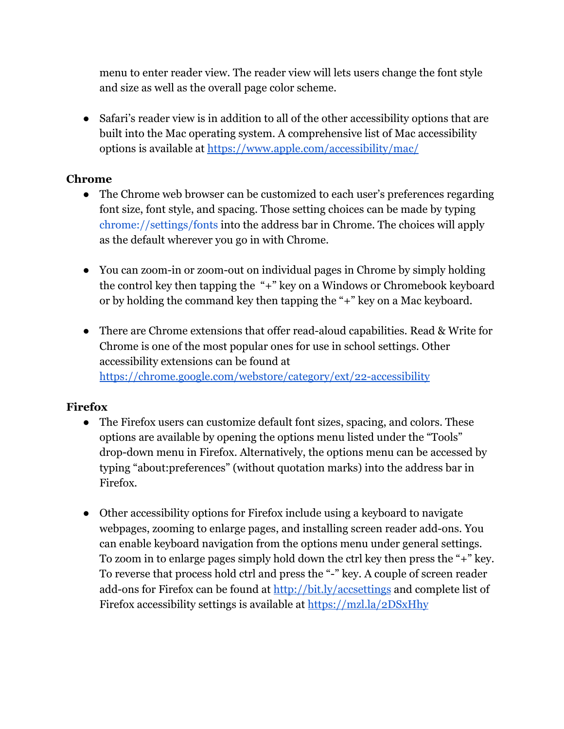menu to enter reader view. The reader view will lets users change the font style and size as well as the overall page color scheme.

Safari's reader view is in addition to all of the other accessibility options that are built into the Mac operating system. A comprehensive list of Mac accessibility options is available at<https://www.apple.com/accessibility/mac/>

### **Chrome**

- The Chrome web browser can be customized to each user's preferences regarding font size, font style, and spacing. Those setting choices can be made by typing chrome://settings/fonts into the address bar in Chrome. The choices will apply as the default wherever you go in with Chrome.
- You can zoom-in or zoom-out on individual pages in Chrome by simply holding the control key then tapping the "+" key on a Windows or Chromebook keyboard or by holding the command key then tapping the "+" key on a Mac keyboard.
- There are Chrome extensions that offer read-aloud capabilities. Read & Write for Chrome is one of the most popular ones for use in school settings. Other accessibility extensions can be found at <https://chrome.google.com/webstore/category/ext/22-accessibility>

### **Firefox**

- The Firefox users can customize default font sizes, spacing, and colors. These options are available by opening the options menu listed under the "Tools" drop-down menu in Firefox. Alternatively, the options menu can be accessed by typing "about:preferences" (without quotation marks) into the address bar in Firefox.
- Other accessibility options for Firefox include using a keyboard to navigate webpages, zooming to enlarge pages, and installing screen reader add-ons. You can enable keyboard navigation from the options menu under general settings. To zoom in to enlarge pages simply hold down the ctrl key then press the "+" key. To reverse that process hold ctrl and press the "-" key. A couple of screen reader add-ons for Firefox can be found at <http://bit.ly/accsettings> and complete list of Firefox accessibility settings is available at <https://mzl.la/2DSxHhy>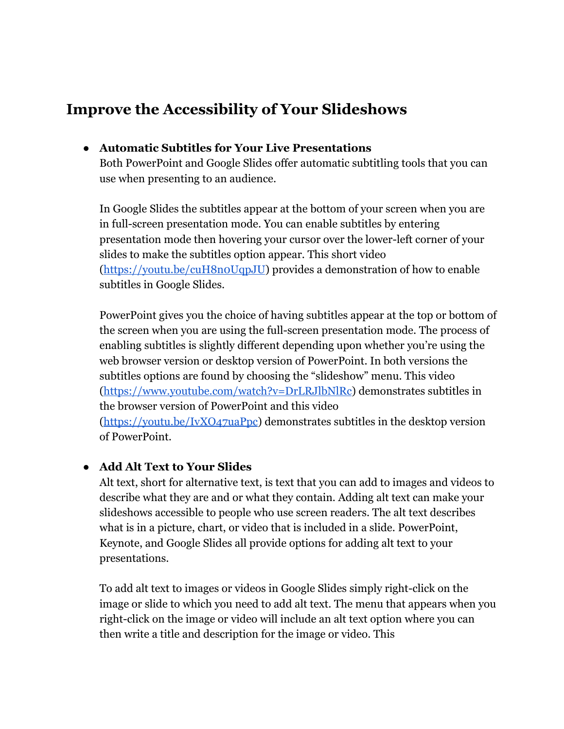## **Improve the Accessibility of Your Slideshows**

#### **● Automatic Subtitles for Your Live Presentations**

Both PowerPoint and Google Slides offer automatic subtitling tools that you can use when presenting to an audience.

In Google Slides the subtitles appear at the bottom of your screen when you are in full-screen presentation mode. You can enable subtitles by entering presentation mode then hovering your cursor over the lower-left corner of your slides to make the subtitles option appear. This short video [\(https://youtu.be/cuH8n0UqpJU](https://youtu.be/cuH8n0UqpJU)) provides a demonstration of how to enable subtitles in Google Slides.

PowerPoint gives you the choice of having subtitles appear at the top or bottom of the screen when you are using the full-screen presentation mode. The process of enabling subtitles is slightly different depending upon whether you're using the web browser version or desktop version of PowerPoint. In both versions the subtitles options are found by choosing the "slideshow" menu. This video [\(https://www.youtube.com/watch?v=DrLRJlbNlRc](https://www.youtube.com/watch?v=DrLRJlbNlRc)) demonstrates subtitles in the browser version of PowerPoint and this video [\(https://youtu.be/IvXO47uaPpc\)](https://youtu.be/IvXO47uaPpc) demonstrates subtitles in the desktop version of PowerPoint.

### **● Add Alt Text to Your Slides**

Alt text, short for alternative text, is text that you can add to images and videos to describe what they are and or what they contain. Adding alt text can make your slideshows accessible to people who use screen readers. The alt text describes what is in a picture, chart, or video that is included in a slide. PowerPoint, Keynote, and Google Slides all provide options for adding alt text to your presentations.

To add alt text to images or videos in Google Slides simply right-click on the image or slide to which you need to add alt text. The menu that appears when you right-click on the image or video will include an alt text option where you can then write a title and description for the image or video. This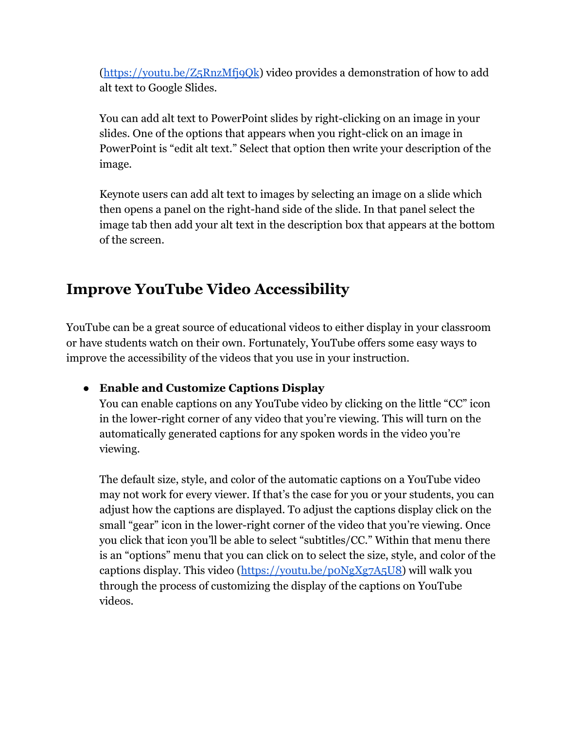[\(https://youtu.be/Z5RnzMfj9Qk](https://youtu.be/Z5RnzMfj9Qk)) video provides a demonstration of how to add alt text to Google Slides.

You can add alt text to PowerPoint slides by right-clicking on an image in your slides. One of the options that appears when you right-click on an image in PowerPoint is "edit alt text." Select that option then write your description of the image.

Keynote users can add alt text to images by selecting an image on a slide which then opens a panel on the right-hand side of the slide. In that panel select the image tab then add your alt text in the description box that appears at the bottom of the screen.

## **Improve YouTube Video Accessibility**

YouTube can be a great source of educational videos to either display in your classroom or have students watch on their own. Fortunately, YouTube offers some easy ways to improve the accessibility of the videos that you use in your instruction.

### **● Enable and Customize Captions Display**

You can enable captions on any YouTube video by clicking on the little "CC" icon in the lower-right corner of any video that you're viewing. This will turn on the automatically generated captions for any spoken words in the video you're viewing.

The default size, style, and color of the automatic captions on a YouTube video may not work for every viewer. If that's the case for you or your students, you can adjust how the captions are displayed. To adjust the captions display click on the small "gear" icon in the lower-right corner of the video that you're viewing. Once you click that icon you'll be able to select "subtitles/CC." Within that menu there is an "options" menu that you can click on to select the size, style, and color of the captions display. This video (<https://youtu.be/p0NgXg7A5U8>) will walk you through the process of customizing the display of the captions on YouTube videos.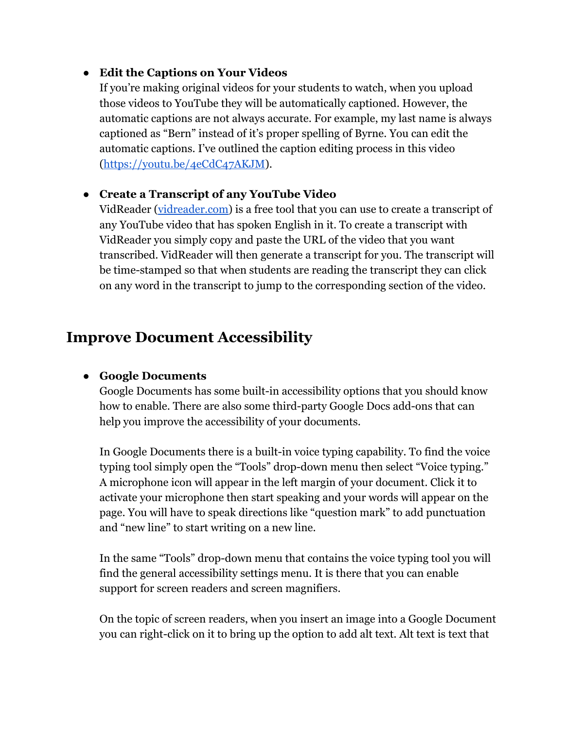#### **● Edit the Captions on Your Videos**

If you're making original videos for your students to watch, when you upload those videos to YouTube they will be automatically captioned. However, the automatic captions are not always accurate. For example, my last name is always captioned as "Bern" instead of it's proper spelling of Byrne. You can edit the automatic captions. I've outlined the caption editing process in this video [\(https://youtu.be/4eCdC47AKJM\)](https://youtu.be/4eCdC47AKJM).

### **● Create a Transcript of any YouTube Video**

VidReader ([vidreader.com](https://www.vidreader.com/)) is a free tool that you can use to create a transcript of any YouTube video that has spoken English in it. To create a transcript with VidReader you simply copy and paste the URL of the video that you want transcribed. VidReader will then generate a transcript for you. The transcript will be time-stamped so that when students are reading the transcript they can click on any word in the transcript to jump to the corresponding section of the video.

### **Improve Document Accessibility**

### **● Google Documents**

Google Documents has some built-in accessibility options that you should know how to enable. There are also some third-party Google Docs add-ons that can help you improve the accessibility of your documents.

In Google Documents there is a built-in voice typing capability. To find the voice typing tool simply open the "Tools" drop-down menu then select "Voice typing." A microphone icon will appear in the left margin of your document. Click it to activate your microphone then start speaking and your words will appear on the page. You will have to speak directions like "question mark" to add punctuation and "new line" to start writing on a new line.

In the same "Tools" drop-down menu that contains the voice typing tool you will find the general accessibility settings menu. It is there that you can enable support for screen readers and screen magnifiers.

On the topic of screen readers, when you insert an image into a Google Document you can right-click on it to bring up the option to add alt text. Alt text is text that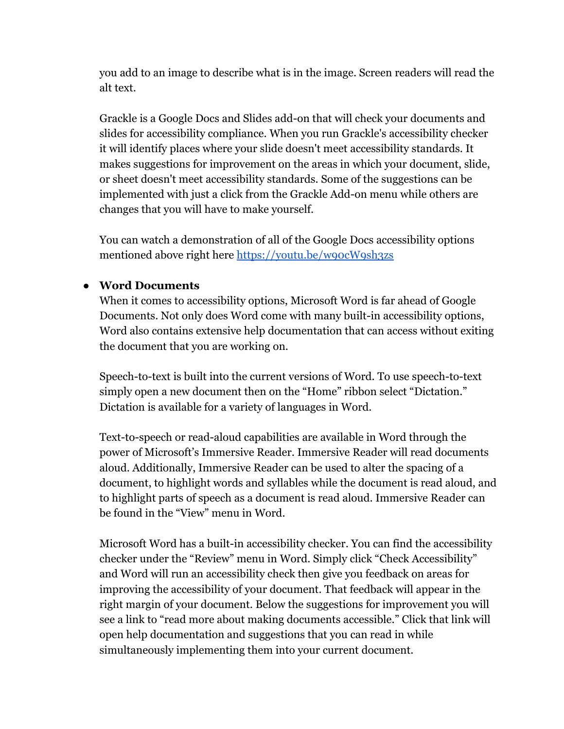you add to an image to describe what is in the image. Screen readers will read the alt text.

Grackle is a Google Docs and Slides add-on that will check your documents and slides for accessibility compliance. When you run Grackle's accessibility checker it will identify places where your slide doesn't meet accessibility standards. It makes suggestions for improvement on the areas in which your document, slide, or sheet doesn't meet accessibility standards. Some of the suggestions can be implemented with just a click from the Grackle Add-on menu while others are changes that you will have to make yourself.

You can watch a demonstration of all of the Google Docs accessibility options mentioned above right here <https://youtu.be/w90cW9sh3zs>

### **● Word Documents**

When it comes to accessibility options, Microsoft Word is far ahead of Google Documents. Not only does Word come with many built-in accessibility options, Word also contains extensive help documentation that can access without exiting the document that you are working on.

Speech-to-text is built into the current versions of Word. To use speech-to-text simply open a new document then on the "Home" ribbon select "Dictation." Dictation is available for a variety of languages in Word.

Text-to-speech or read-aloud capabilities are available in Word through the power of Microsoft's Immersive Reader. Immersive Reader will read documents aloud. Additionally, Immersive Reader can be used to alter the spacing of a document, to highlight words and syllables while the document is read aloud, and to highlight parts of speech as a document is read aloud. Immersive Reader can be found in the "View" menu in Word.

Microsoft Word has a built-in accessibility checker. You can find the accessibility checker under the "Review" menu in Word. Simply click "Check Accessibility" and Word will run an accessibility check then give you feedback on areas for improving the accessibility of your document. That feedback will appear in the right margin of your document. Below the suggestions for improvement you will see a link to "read more about making documents accessible." Click that link will open help documentation and suggestions that you can read in while simultaneously implementing them into your current document.